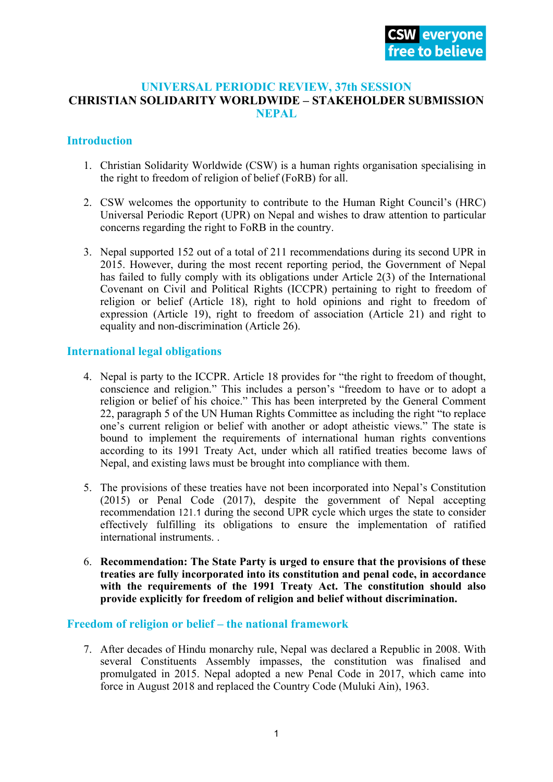### **UNIVERSAL PERIODIC REVIEW, 37th SESSION CHRISTIAN SOLIDARITY WORLDWIDE – STAKEHOLDER SUBMISSION NEPAL**

# **Introduction**

- 1. Christian Solidarity Worldwide (CSW) is <sup>a</sup> human rights organisation specialising in the right to freedom of religion of belief (FoRB) for all.
- 2. CSW welcomes the opportunity to contribute to the Human Right Council'<sup>s</sup> (HRC) Universal Periodic Report (UPR) on Nepal and wishes to draw attention to particular concerns regarding the right to FoRB in the country.
- 3. Nepal supported 152 out of <sup>a</sup> total of 211 recommendations during its second UPR in 2015. However, during the most recent reporting period, the Government of Nepal has failed to fully comply with its obligations under Article 2(3) of the International Covenant on Civil and Political Rights (ICCPR) pertaining to right to freedom of religion or belief (Article 18), right to hold opinions and right to freedom of expression (Article 19), right to freedom of association (Article 21) and right to equality and non-discrimination (Article 26).

## **International legal obligations**

- 4. Nepal is party to the ICCPR. Article 18 provides for "the right to freedom of thought, conscience and religion." This includes <sup>a</sup> person'<sup>s</sup> "freedom to have or to adopt <sup>a</sup> religion or belief of his choice." This has been interpreted by the General Comment 22, paragraph 5 of the UN Human Rights Committee as including the right "to replace one'<sup>s</sup> current religion or belief with another or adopt atheistic views." The state is bound to implement the requirements of international human rights conventions according to its 1991 Treaty Act, under which all ratified treaties become laws of Nepal, and existing laws must be brought into compliance with them.
- 5. The provisions of these treaties have not been incorporated into Nepal'<sup>s</sup> Constitution (2015) or Penal Code (2017), despite the governmen<sup>t</sup> of Nepal accepting recommendation <sup>121</sup>.1 during the second UPR cycle which urges the state to consider effectively fulfilling its obligations to ensure the implementation of ratified international instruments. .
- 6. **Recommendation: The State Party is urged to ensure that the provisions of these treaties are fully incorporated into its constitution and penal code, in accordance with the requirements of the 1991 Treaty Act. The constitution should also provide explicitly for freedom of religion and belief without discrimination.**

### **Freedom of religion or belief – the national framework**

7. After decades of Hindu monarchy rule, Nepal was declared <sup>a</sup> Republic in 2008. With several Constituents Assembly impasses, the constitution was finalised and promulgated in 2015. Nepal adopted <sup>a</sup> new Penal Code in 2017, which came into force in August 2018 and replaced the Country Code (Muluki Ain), 1963.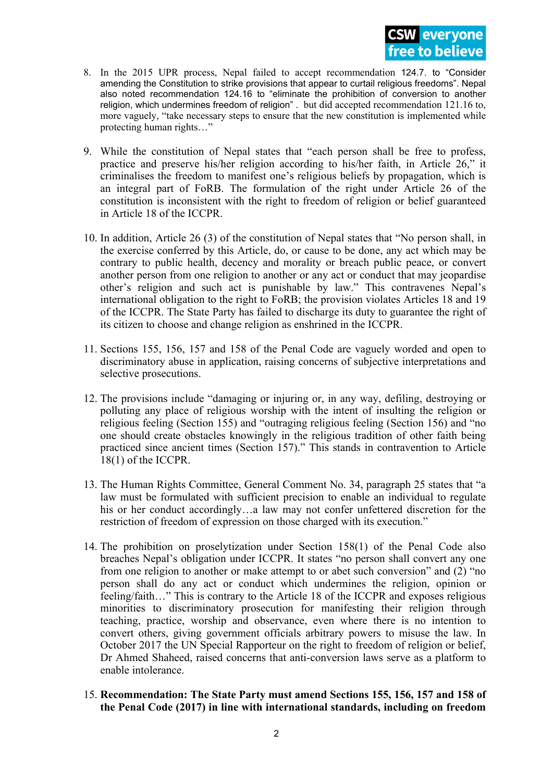- 8. In the 2015 UPR process, Nepal failed to accep<sup>t</sup> recommendation 124.7. to "Consider amending the Constitution to strike provisions that appear to curtail religious freedoms". Nepal also noted recommendation 124.16 to "eliminate the prohibition of conversion to another religion, which undermines freedom of religion" . but did accepted recommendation 121.16 to, more vaguely, "take necessary steps to ensure that the new constitution is implemented while protecting human rights…"
- 9. While the constitution of Nepal states that "each person shall be free to profess, practice and preserve his/her religion according to his/her faith, in Article 26," it criminalises the freedom to manifest one'<sup>s</sup> religious beliefs by propagation, which is an integral par<sup>t</sup> of FoRB. The formulation of the right under Article 26 of the constitution is inconsistent with the right to freedom of religion or belief guaranteed in Article 18 of the ICCPR.
- 10. In addition, Article 26 (3) of the constitution of Nepal states that "No person shall, in the exercise conferred by this Article, do, or cause to be done, any act which may be contrary to public health, decency and morality or breach public peace, or convert another person from one religion to another or any act or conduct that may jeopardise other'<sup>s</sup> religion and such act is punishable by law." This contravenes Nepal'<sup>s</sup> international obligation to the right to FoRB; the provision violates Articles 18 and 19 of the ICCPR. The State Party has failed to discharge its duty to guarantee the right of its citizen to choose and change religion as enshrined in the ICCPR.
- 11. Sections 155, 156, 157 and 158 of the Penal Code are vaguely worded and open to discriminatory abuse in application, raising concerns of subjective interpretations and selective prosecutions.
- 12. The provisions include "damaging or injuring or, in any way, defiling, destroying or polluting any place of religious worship with the intent of insulting the religion or religious feeling (Section 155) and "outraging religious feeling (Section 156) and "no one should create obstacles knowingly in the religious tradition of other faith being practiced since ancient times (Section 157)." This stands in contravention to Article 18(1) of the ICCPR.
- 13. The Human Rights Committee, General Comment No. 34, paragraph 25 states that "<sup>a</sup> law must be formulated with sufficient precision to enable an individual to regulate his or her conduct accordingly...a law may not confer unfettered discretion for the restriction of freedom of expression on those charged with its execution."
- 14. The prohibition on proselytization under Section 158(1) of the Penal Code also breaches Nepal'<sup>s</sup> obligation under ICCPR. It states "no person shall convert any one from one religion to another or make attempt to or abet such conversion" and (2) "no person shall do any act or conduct which undermines the religion, opinion or feeling/faith…" This is contrary to the Article 18 of the ICCPR and exposes religious minorities to discriminatory prosecution for manifesting their religion through teaching, practice, worship and observance, even where there is no intention to convert others, giving governmen<sup>t</sup> officials arbitrary powers to misuse the law. In October 2017 the UN Special Rapporteur on the right to freedom of religion or belief, Dr Ahmed Shaheed, raised concerns that anti-conversion laws serve as <sup>a</sup> platform to enable intolerance.
- 15. **Recommendation: The State Party must amend Sections 155, 156, 157 and 158 of the Penal Code (2017) in line with international standards, including on freedom**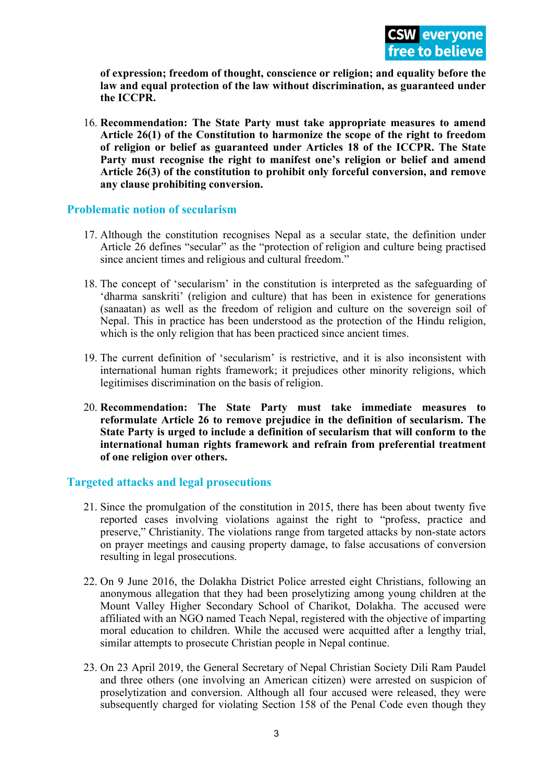**of expression; freedom of thought, conscience or religion; and equality before the law and equal protection of the law without discrimination, as guaranteed under the ICCPR.**

16. **Recommendation: The State Party must take appropriate measures to amend Article 26(1) of the Constitution to harmonize the scope of the right to freedom of religion or belief as guaranteed under Articles 18 of the ICCPR. The State Party must recognise the right to manifest one'<sup>s</sup> religion or belief and amend Article 26(3) of the constitution to prohibit only forceful conversion, and remove any clause prohibiting conversion.**

### **Problematic notion of secularism**

- 17. Although the constitution recognises Nepal as <sup>a</sup> secular state, the definition under Article 26 defines "secular" as the "protection of religion and culture being practised since ancient times and religious and cultural freedom."
- 18. The concep<sup>t</sup> of 'secularism' in the constitution is interpreted as the safeguarding of 'dharma sanskriti' (religion and culture) that has been in existence for generations (sanaatan) as well as the freedom of religion and culture on the sovereign soil of Nepal. This in practice has been understood as the protection of the Hindu religion, which is the only religion that has been practiced since ancient times.
- 19. The current definition of 'secularism' is restrictive, and it is also inconsistent with international human rights framework; it prejudices other minority religions, which legitimises discrimination on the basis of religion.
- 20. **Recommendation: The State Party must take immediate measures to reformulate Article 26 to remove prejudice in the definition of secularism. The State Party is urged to include <sup>a</sup> definition of secularism that will conform to the international human rights framework and refrain from preferential treatment of one religion over others.**

## **Targeted attacks and legal prosecutions**

- 21. Since the promulgation of the constitution in 2015, there has been about twenty five reported cases involving violations against the right to "profess, practice and preserve," Christianity. The violations range from targeted attacks by non-state actors on prayer meetings and causing property damage, to false accusations of conversion resulting in legal prosecutions.
- 22. On 9 June 2016, the Dolakha District Police arrested eight Christians, following an anonymous allegation that they had been proselytizing among young children at the Mount Valley Higher Secondary School of Charikot, Dolakha. The accused were affiliated with an NGO named Teach Nepal, registered with the objective of imparting moral education to children. While the accused were acquitted after <sup>a</sup> lengthy trial, similar attempts to prosecute Christian people in Nepal continue.
- 23. On 23 April 2019, the General Secretary of Nepal Christian Society Dili Ram Paudel and three others (one involving an American citizen) were arrested on suspicion of proselytization and conversion. Although all four accused were released, they were subsequently charged for violating Section 158 of the Penal Code even though they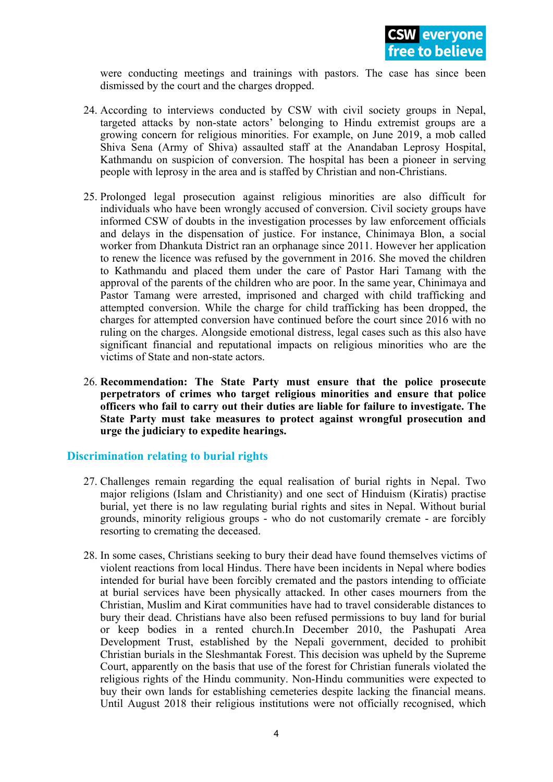were conducting meetings and trainings with pastors. The case has since been dismissed by the court and the charges dropped.

- 24. According to interviews conducted by CSW with civil society groups in Nepal, targeted attacks by non-state actors' belonging to Hindu extremist groups are <sup>a</sup> growing concern for religious minorities. For example, on June 2019, <sup>a</sup> mob called Shiva Sena (Army of Shiva) assaulted staff at the Anandaban Leprosy Hospital, Kathmandu on suspicion of conversion. The hospital has been <sup>a</sup> pioneer in serving people with leprosy in the area and is staffed by Christian and non-Christians.
- 25. Prolonged legal prosecution against religious minorities are also difficult for individuals who have been wrongly accused of conversion. Civil society groups have informed CSW of doubts in the investigation processes by law enforcement officials and delays in the dispensation of justice. For instance, Chinimaya Blon, <sup>a</sup> social worker from Dhankuta District ran an orphanage since 2011. However her application to renew the licence was refused by the governmen<sup>t</sup> in 2016. She moved the children to Kathmandu and placed them under the care of Pastor Hari Tamang with the approval of the parents of the children who are poor. In the same year, Chinimaya and Pastor Tamang were arrested, imprisoned and charged with child trafficking and attempted conversion. While the charge for child trafficking has been dropped, the charges for attempted conversion have continued before the court since 2016 with no ruling on the charges. Alongside emotional distress, legal cases such as this also have significant financial and reputational impacts on religious minorities who are the victims of State and non-state actors.
- 26. **Recommendation: The State Party must ensure that the police prosecute perpetrators of crimes who target religious minorities and ensure that police officers who fail to carry out their duties are liable for failure to investigate. The State Party must take measures to protect against wrongful prosecution and urge the judiciary to expedite hearings.**

### **Discrimination relating to burial rights**

- 27. Challenges remain regarding the equal realisation of burial rights in Nepal. Two major religions (Islam and Christianity) and one sect of Hinduism (Kiratis) practise burial, ye<sup>t</sup> there is no law regulating burial rights and sites in Nepal. Without burial grounds, minority religious groups - who do not customarily cremate - are forcibly resorting to cremating the deceased.
- 28. In some cases, Christians seeking to bury their dead have found themselves victims of violent reactions from local Hindus. There have been incidents in Nepal where bodies intended for burial have been forcibly cremated and the pastors intending to officiate at burial services have been physically attacked. In other cases mourners from the Christian, Muslim and Kirat communities have had to travel considerable distances to bury their dead. Christians have also been refused permissions to buy land for burial or keep bodies in <sup>a</sup> rented church.In December 2010, the Pashupati Area Development Trust, established by the Nepali government, decided to prohibit Christian burials in the Sleshmantak Forest. This decision was upheld by the Supreme Court, apparently on the basis that use of the forest for Christian funerals violated the religious rights of the Hindu community. Non-Hindu communities were expected to buy their own lands for establishing cemeteries despite lacking the financial means. Until August 2018 their religious institutions were not officially recognised, which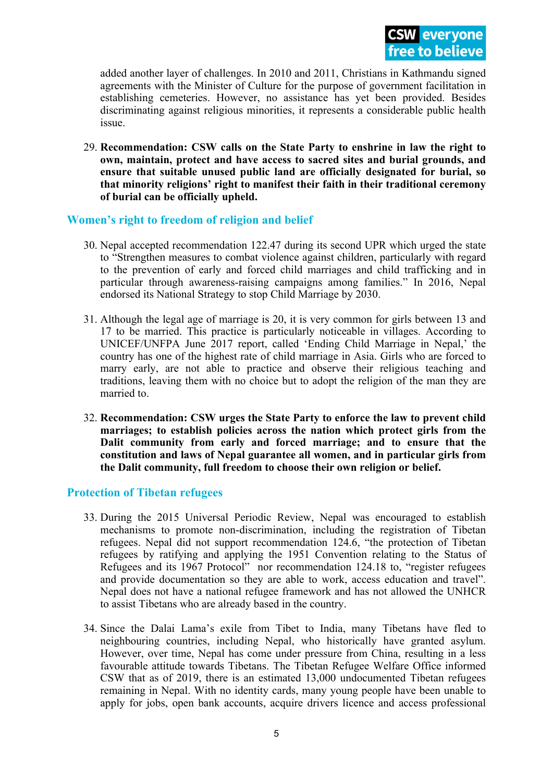added another layer of challenges. In 2010 and 2011, Christians in Kathmandu signed agreements with the Minister of Culture for the purpose of governmen<sup>t</sup> facilitation in establishing cemeteries. However, no assistance has ye<sup>t</sup> been provided. Besides discriminating against religious minorities, it represents <sup>a</sup> considerable public health issue.

29. **Recommendation: CSW calls on the State Party to enshrine in law the right to own, maintain, protect and have access to sacred sites and burial grounds, and ensure that suitable unused public land are officially designated for burial, so that minority religions' right to manifest their faith in their traditional ceremony of burial can be officially upheld.**

## **Women'<sup>s</sup> right to freedom of religion and belief**

- 30. Nepal accepted recommendation 122.47 during its second UPR which urged the state to "Strengthen measures to combat violence against children, particularly with regard to the prevention of early and forced child marriages and child trafficking and in particular through awareness-raising campaigns among families." In 2016, Nepal endorsed its National Strategy to stop Child Marriage by 2030.
- 31. Although the legal age of marriage is 20, it is very common for girls between 13 and 17 to be married. This practice is particularly noticeable in villages. According to UNICEF/UNFPA June 2017 report, called 'Ending Child Marriage in Nepal,' the country has one of the highest rate of child marriage in Asia. Girls who are forced to marry early, are not able to practice and observe their religious teaching and traditions, leaving them with no choice but to adopt the religion of the man they are married to.
- 32. **Recommendation: CSW urges the State Party to enforce the law to prevent child marriages; to establish policies across the nation which protect girls from the Dalit community from early and forced marriage; and to ensure that the constitution and laws of Nepal guarantee all women, and in particular girls from the Dalit community, full freedom to choose their own religion or belief.**

### **Protection of Tibetan refugees**

- 33. During the 2015 Universal Periodic Review, Nepal was encouraged to establish mechanisms to promote non-discrimination, including the registration of Tibetan refugees. Nepal did not suppor<sup>t</sup> recommendation 124.6, "the protection of Tibetan refugees by ratifying and applying the 1951 Convention relating to the Status of Refugees and its 1967 Protocol" nor recommendation 124.18 to, "register refugees and provide documentation so they are able to work, access education and travel". Nepal does not have <sup>a</sup> national refugee framework and has not allowed the UNHCR to assist Tibetans who are already based in the country.
- 34. Since the Dalai Lama'<sup>s</sup> exile from Tibet to India, many Tibetans have fled to neighbouring countries, including Nepal, who historically have granted asylum. However, over time, Nepal has come under pressure from China, resulting in <sup>a</sup> less favourable attitude towards Tibetans. The Tibetan Refugee Welfare Office informed CSW that as of 2019, there is an estimated 13,000 undocumented Tibetan refugees remaining in Nepal. With no identity cards, many young people have been unable to apply for jobs, open bank accounts, acquire drivers licence and access professional